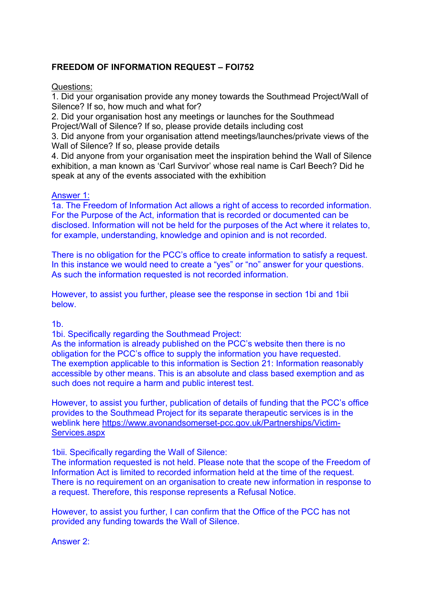## **FREEDOM OF INFORMATION REQUEST – FOI752**

Questions:

1. Did your organisation provide any money towards the Southmead Project/Wall of Silence? If so, how much and what for?

2. Did your organisation host any meetings or launches for the Southmead Project/Wall of Silence? If so, please provide details including cost

3. Did anyone from your organisation attend meetings/launches/private views of the Wall of Silence? If so, please provide details

4. Did anyone from your organisation meet the inspiration behind the Wall of Silence exhibition, a man known as 'Carl Survivor' whose real name is Carl Beech? Did he speak at any of the events associated with the exhibition

## Answer 1:

1a. The Freedom of Information Act allows a right of access to recorded information. For the Purpose of the Act, information that is recorded or documented can be disclosed. Information will not be held for the purposes of the Act where it relates to, for example, understanding, knowledge and opinion and is not recorded.

There is no obligation for the PCC's office to create information to satisfy a request. In this instance we would need to create a "yes" or "no" answer for your questions. As such the information requested is not recorded information.

However, to assist you further, please see the response in section 1bi and 1bii below.

 $1<sub>b</sub>$ 

1bi. Specifically regarding the Southmead Project:

As the information is already published on the PCC's website then there is no obligation for the PCC's office to supply the information you have requested. The exemption applicable to this information is Section 21: Information reasonably accessible by other means. This is an absolute and class based exemption and as such does not require a harm and public interest test.

However, to assist you further, publication of details of funding that the PCC's office provides to the Southmead Project for its separate therapeutic services is in the weblink here https://www.avonandsomerset-pcc.gov.uk/Partnerships/Victim-Services.aspx

1bii. Specifically regarding the Wall of Silence:

The information requested is not held. Please note that the scope of the Freedom of Information Act is limited to recorded information held at the time of the request. There is no requirement on an organisation to create new information in response to a request. Therefore, this response represents a Refusal Notice.

However, to assist you further, I can confirm that the Office of the PCC has not provided any funding towards the Wall of Silence.

Answer 2: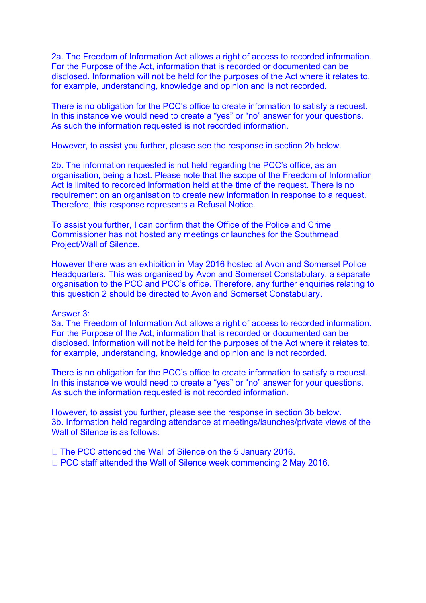2a. The Freedom of Information Act allows a right of access to recorded information. For the Purpose of the Act, information that is recorded or documented can be disclosed. Information will not be held for the purposes of the Act where it relates to, for example, understanding, knowledge and opinion and is not recorded.

There is no obligation for the PCC's office to create information to satisfy a request. In this instance we would need to create a "yes" or "no" answer for your questions. As such the information requested is not recorded information.

However, to assist you further, please see the response in section 2b below.

2b. The information requested is not held regarding the PCC's office, as an organisation, being a host. Please note that the scope of the Freedom of Information Act is limited to recorded information held at the time of the request. There is no requirement on an organisation to create new information in response to a request. Therefore, this response represents a Refusal Notice.

To assist you further, I can confirm that the Office of the Police and Crime Commissioner has not hosted any meetings or launches for the Southmead Project/Wall of Silence.

However there was an exhibition in May 2016 hosted at Avon and Somerset Police Headquarters. This was organised by Avon and Somerset Constabulary, a separate organisation to the PCC and PCC's office. Therefore, any further enquiries relating to this question 2 should be directed to Avon and Somerset Constabulary.

## Answer 3:

3a. The Freedom of Information Act allows a right of access to recorded information. For the Purpose of the Act, information that is recorded or documented can be disclosed. Information will not be held for the purposes of the Act where it relates to, for example, understanding, knowledge and opinion and is not recorded.

There is no obligation for the PCC's office to create information to satisfy a request. In this instance we would need to create a "yes" or "no" answer for your questions. As such the information requested is not recorded information.

However, to assist you further, please see the response in section 3b below. 3b. Information held regarding attendance at meetings/launches/private views of the Wall of Silence is as follows:

□ The PCC attended the Wall of Silence on the 5 January 2016. □ PCC staff attended the Wall of Silence week commencing 2 May 2016.